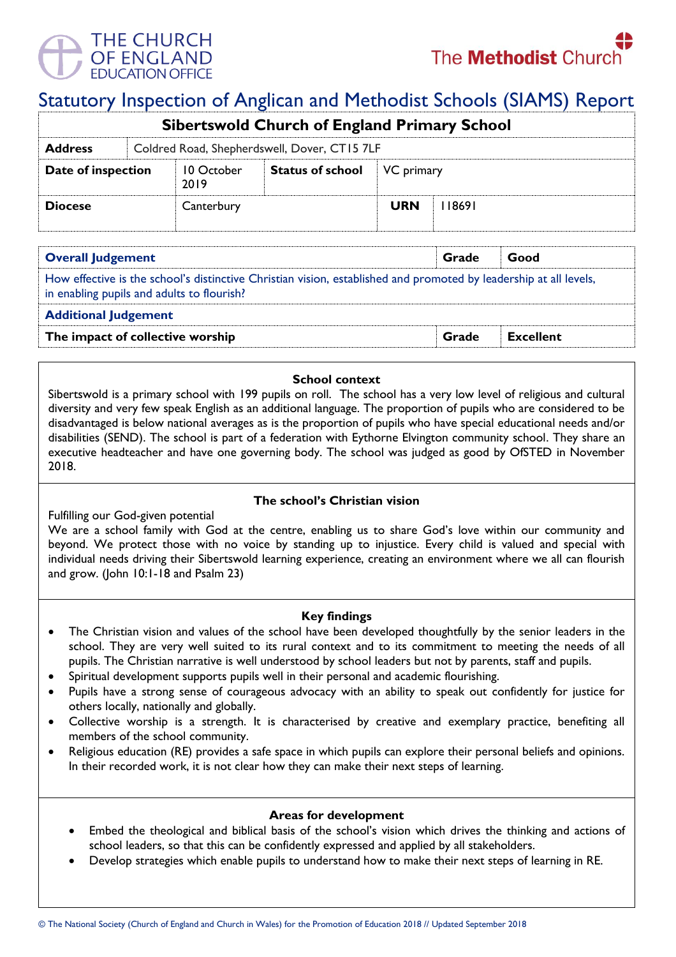

# Statutory Inspection of Anglican and Methodist Schools (SIAMS) Report

| <b>Sibertswold Church of England Primary School</b> |                                              |                    |                         |            |       |  |  |  |
|-----------------------------------------------------|----------------------------------------------|--------------------|-------------------------|------------|-------|--|--|--|
| <b>Address</b>                                      | Coldred Road, Shepherdswell, Dover, CT15 7LF |                    |                         |            |       |  |  |  |
| Date of inspection                                  |                                              | 10 October<br>2019 | <b>Status of school</b> | VC primary |       |  |  |  |
| <b>Diocese</b>                                      |                                              | Canterbury         |                         | <b>URN</b> | 18691 |  |  |  |

| <b>Overall Judgement</b>                                                                                                                                        | Grade | Good             |  |  |  |  |
|-----------------------------------------------------------------------------------------------------------------------------------------------------------------|-------|------------------|--|--|--|--|
| How effective is the school's distinctive Christian vision, established and promoted by leadership at all levels,<br>in enabling pupils and adults to flourish? |       |                  |  |  |  |  |
| <b>Additional Judgement</b>                                                                                                                                     |       |                  |  |  |  |  |
| The impact of collective worship                                                                                                                                | Grade | <b>Excellent</b> |  |  |  |  |

#### **School context**

Sibertswold is a primary school with 199 pupils on roll. The school has a very low level of religious and cultural diversity and very few speak English as an additional language. The proportion of pupils who are considered to be disadvantaged is below national averages as is the proportion of pupils who have special educational needs and/or disabilities (SEND). The school is part of a federation with Eythorne Elvington community school. They share an executive headteacher and have one governing body. The school was judged as good by OfSTED in November 2018.

### **The school's Christian vision**

Fulfilling our God-given potential

We are a school family with God at the centre, enabling us to share God's love within our community and beyond. We protect those with no voice by standing up to injustice. Every child is valued and special with individual needs driving their Sibertswold learning experience, creating an environment where we all can flourish and grow. (John 10:1-18 and Psalm 23)

#### **Key findings**

- The Christian vision and values of the school have been developed thoughtfully by the senior leaders in the school. They are very well suited to its rural context and to its commitment to meeting the needs of all pupils. The Christian narrative is well understood by school leaders but not by parents, staff and pupils.
- Spiritual development supports pupils well in their personal and academic flourishing.
- Pupils have a strong sense of courageous advocacy with an ability to speak out confidently for justice for others locally, nationally and globally.
- Collective worship is a strength. It is characterised by creative and exemplary practice, benefiting all members of the school community.
- Religious education (RE) provides a safe space in which pupils can explore their personal beliefs and opinions. In their recorded work, it is not clear how they can make their next steps of learning.

#### **Areas for development**

- Embed the theological and biblical basis of the school's vision which drives the thinking and actions of school leaders, so that this can be confidently expressed and applied by all stakeholders.
- Develop strategies which enable pupils to understand how to make their next steps of learning in RE.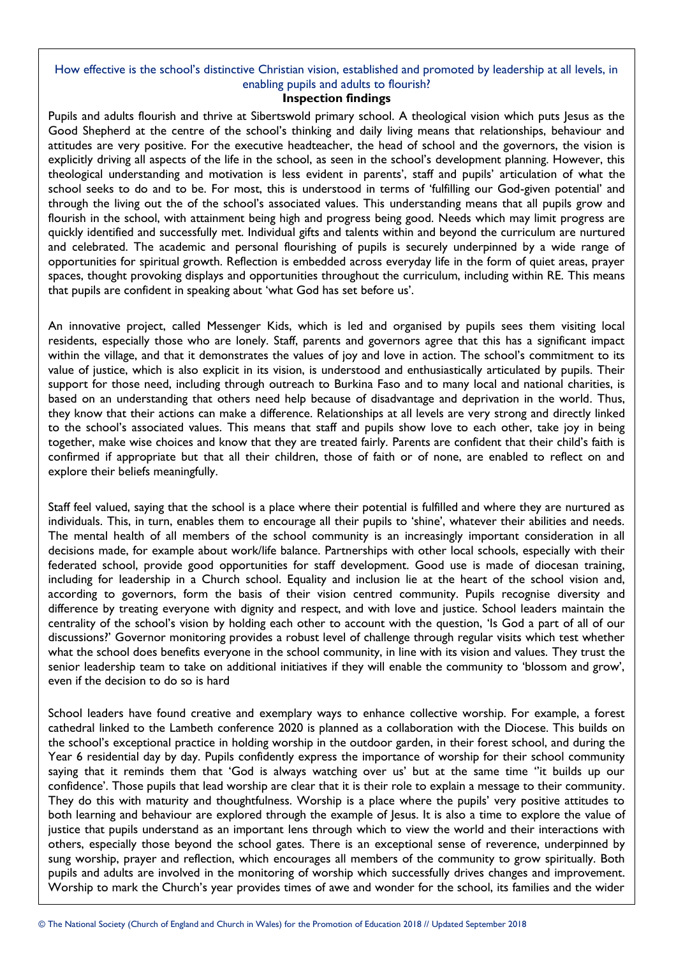## How effective is the school's distinctive Christian vision, established and promoted by leadership at all levels, in enabling pupils and adults to flourish?

#### **Inspection findings**

Pupils and adults flourish and thrive at Sibertswold primary school. A theological vision which puts Jesus as the Good Shepherd at the centre of the school's thinking and daily living means that relationships, behaviour and attitudes are very positive. For the executive headteacher, the head of school and the governors, the vision is explicitly driving all aspects of the life in the school, as seen in the school's development planning. However, this theological understanding and motivation is less evident in parents', staff and pupils' articulation of what the school seeks to do and to be. For most, this is understood in terms of 'fulfilling our God-given potential' and through the living out the of the school's associated values. This understanding means that all pupils grow and flourish in the school, with attainment being high and progress being good. Needs which may limit progress are quickly identified and successfully met. Individual gifts and talents within and beyond the curriculum are nurtured and celebrated. The academic and personal flourishing of pupils is securely underpinned by a wide range of opportunities for spiritual growth. Reflection is embedded across everyday life in the form of quiet areas, prayer spaces, thought provoking displays and opportunities throughout the curriculum, including within RE. This means that pupils are confident in speaking about 'what God has set before us'.

An innovative project, called Messenger Kids, which is led and organised by pupils sees them visiting local residents, especially those who are lonely. Staff, parents and governors agree that this has a significant impact within the village, and that it demonstrates the values of joy and love in action. The school's commitment to its value of justice, which is also explicit in its vision, is understood and enthusiastically articulated by pupils. Their support for those need, including through outreach to Burkina Faso and to many local and national charities, is based on an understanding that others need help because of disadvantage and deprivation in the world. Thus, they know that their actions can make a difference. Relationships at all levels are very strong and directly linked to the school's associated values. This means that staff and pupils show love to each other, take joy in being together, make wise choices and know that they are treated fairly. Parents are confident that their child's faith is confirmed if appropriate but that all their children, those of faith or of none, are enabled to reflect on and explore their beliefs meaningfully.

Staff feel valued, saying that the school is a place where their potential is fulfilled and where they are nurtured as individuals. This, in turn, enables them to encourage all their pupils to 'shine', whatever their abilities and needs. The mental health of all members of the school community is an increasingly important consideration in all decisions made, for example about work/life balance. Partnerships with other local schools, especially with their federated school, provide good opportunities for staff development. Good use is made of diocesan training, including for leadership in a Church school. Equality and inclusion lie at the heart of the school vision and, according to governors, form the basis of their vision centred community. Pupils recognise diversity and difference by treating everyone with dignity and respect, and with love and justice. School leaders maintain the centrality of the school's vision by holding each other to account with the question, 'Is God a part of all of our discussions?' Governor monitoring provides a robust level of challenge through regular visits which test whether what the school does benefits everyone in the school community, in line with its vision and values. They trust the senior leadership team to take on additional initiatives if they will enable the community to 'blossom and grow', even if the decision to do so is hard

School leaders have found creative and exemplary ways to enhance collective worship. For example, a forest cathedral linked to the Lambeth conference 2020 is planned as a collaboration with the Diocese. This builds on the school's exceptional practice in holding worship in the outdoor garden, in their forest school, and during the Year 6 residential day by day. Pupils confidently express the importance of worship for their school community saying that it reminds them that 'God is always watching over us' but at the same time "it builds up our confidence'. Those pupils that lead worship are clear that it is their role to explain a message to their community. They do this with maturity and thoughtfulness. Worship is a place where the pupils' very positive attitudes to both learning and behaviour are explored through the example of Jesus. It is also a time to explore the value of justice that pupils understand as an important lens through which to view the world and their interactions with others, especially those beyond the school gates. There is an exceptional sense of reverence, underpinned by sung worship, prayer and reflection, which encourages all members of the community to grow spiritually. Both pupils and adults are involved in the monitoring of worship which successfully drives changes and improvement. Worship to mark the Church's year provides times of awe and wonder for the school, its families and the wider